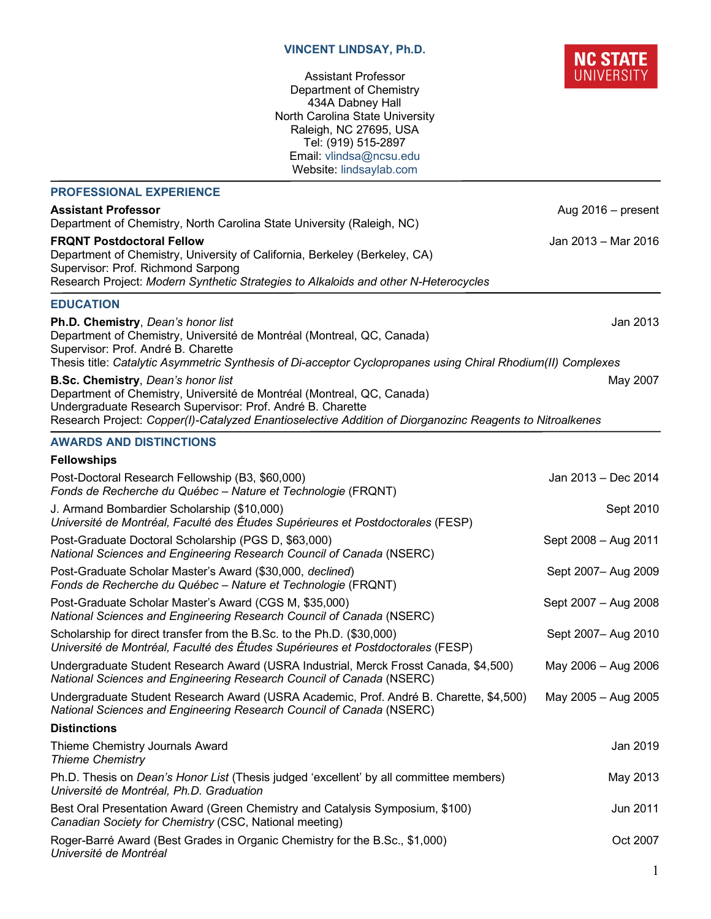# **VINCENT LINDSAY, Ph.D.**

Assistant Professor



| Department of Chemistry<br>434A Dabney Hall<br>North Carolina State University<br>Raleigh, NC 27695, USA<br>Tel: (919) 515-2897<br>Email: vlindsa@ncsu.edu<br>Website: lindsaylab.com                                                                                                                                 |                      |
|-----------------------------------------------------------------------------------------------------------------------------------------------------------------------------------------------------------------------------------------------------------------------------------------------------------------------|----------------------|
| <b>PROFESSIONAL EXPERIENCE</b>                                                                                                                                                                                                                                                                                        |                      |
| <b>Assistant Professor</b>                                                                                                                                                                                                                                                                                            | Aug 2016 - present   |
| Department of Chemistry, North Carolina State University (Raleigh, NC)<br><b>FRQNT Postdoctoral Fellow</b><br>Department of Chemistry, University of California, Berkeley (Berkeley, CA)<br>Supervisor: Prof. Richmond Sarpong<br>Research Project: Modern Synthetic Strategies to Alkaloids and other N-Heterocycles | Jan 2013 - Mar 2016  |
| <b>EDUCATION</b>                                                                                                                                                                                                                                                                                                      |                      |
| Ph.D. Chemistry, Dean's honor list<br>Department of Chemistry, Université de Montréal (Montreal, QC, Canada)<br>Supervisor: Prof. André B. Charette<br>Thesis title: Catalytic Asymmetric Synthesis of Di-acceptor Cyclopropanes using Chiral Rhodium(II) Complexes                                                   | Jan 2013             |
| <b>B.Sc. Chemistry, Dean's honor list</b><br>Department of Chemistry, Université de Montréal (Montreal, QC, Canada)<br>Undergraduate Research Supervisor: Prof. André B. Charette<br>Research Project: Copper(I)-Catalyzed Enantioselective Addition of Diorganozinc Reagents to Nitroalkenes                         | May 2007             |
| <b>AWARDS AND DISTINCTIONS</b>                                                                                                                                                                                                                                                                                        |                      |
| <b>Fellowships</b>                                                                                                                                                                                                                                                                                                    |                      |
| Post-Doctoral Research Fellowship (B3, \$60,000)<br>Fonds de Recherche du Québec - Nature et Technologie (FRQNT)                                                                                                                                                                                                      | Jan 2013 - Dec 2014  |
| J. Armand Bombardier Scholarship (\$10,000)<br>Université de Montréal, Faculté des Études Supérieures et Postdoctorales (FESP)                                                                                                                                                                                        | Sept 2010            |
| Post-Graduate Doctoral Scholarship (PGS D, \$63,000)<br>National Sciences and Engineering Research Council of Canada (NSERC)                                                                                                                                                                                          | Sept 2008 - Aug 2011 |
| Post-Graduate Scholar Master's Award (\$30,000, declined)<br>Fonds de Recherche du Québec - Nature et Technologie (FRQNT)                                                                                                                                                                                             | Sept 2007- Aug 2009  |
| Post-Graduate Scholar Master's Award (CGS M, \$35,000)<br>National Sciences and Engineering Research Council of Canada (NSERC)                                                                                                                                                                                        | Sept 2007 - Aug 2008 |
| Scholarship for direct transfer from the B.Sc. to the Ph.D. (\$30,000)<br>Université de Montréal, Faculté des Études Supérieures et Postdoctorales (FESP)                                                                                                                                                             | Sept 2007- Aug 2010  |
| Undergraduate Student Research Award (USRA Industrial, Merck Frosst Canada, \$4,500)<br>National Sciences and Engineering Research Council of Canada (NSERC)                                                                                                                                                          | May 2006 - Aug 2006  |
| Undergraduate Student Research Award (USRA Academic, Prof. André B. Charette, \$4,500)<br>National Sciences and Engineering Research Council of Canada (NSERC)                                                                                                                                                        | May 2005 - Aug 2005  |
| <b>Distinctions</b>                                                                                                                                                                                                                                                                                                   |                      |
| Thieme Chemistry Journals Award<br><b>Thieme Chemistry</b>                                                                                                                                                                                                                                                            | Jan 2019             |
| Ph.D. Thesis on <i>Dean's Honor List</i> (Thesis judged 'excellent' by all committee members)<br>Université de Montréal, Ph.D. Graduation                                                                                                                                                                             | May 2013             |
| Best Oral Presentation Award (Green Chemistry and Catalysis Symposium, \$100)<br>Canadian Society for Chemistry (CSC, National meeting)                                                                                                                                                                               | Jun 2011             |
| Roger-Barré Award (Best Grades in Organic Chemistry for the B.Sc., \$1,000)<br>Université de Montréal                                                                                                                                                                                                                 | Oct 2007             |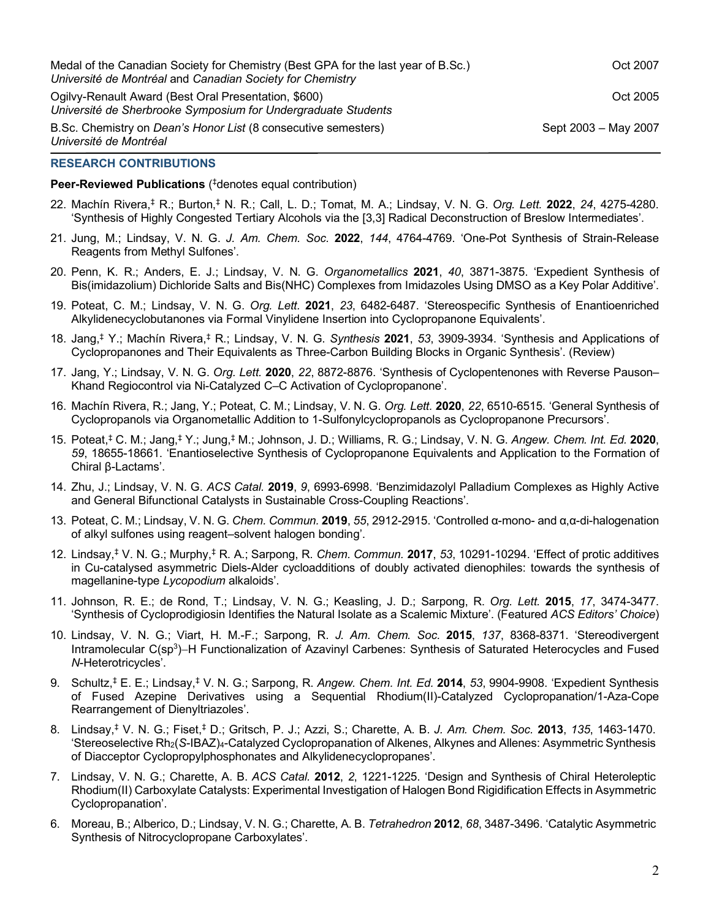| Medal of the Canadian Society for Chemistry (Best GPA for the last year of B.Sc.)<br>Université de Montréal and Canadian Society for Chemistry | Oct 2007             |
|------------------------------------------------------------------------------------------------------------------------------------------------|----------------------|
| Ogilvy-Renault Award (Best Oral Presentation, \$600)<br>Université de Sherbrooke Symposium for Undergraduate Students                          | Oct 2005             |
| B.Sc. Chemistry on <i>Dean's Honor List</i> (8 consecutive semesters)<br>Université de Montréal                                                | Sept 2003 - May 2007 |

#### **RESEARCH CONTRIBUTIONS**

#### **Peer-Reviewed Publications** ( ‡ denotes equal contribution)

- 22. Machín Rivera,‡ R.; Burton,‡ N. R.; Call, L. D.; Tomat, M. A.; Lindsay, V. N. G. *Org. Lett.* **2022**, *24*, 4275-4280. 'Synthesis of Highly Congested Tertiary Alcohols via the [3,3] Radical Deconstruction of Breslow Intermediates'.
- 21. Jung, M.; Lindsay, V. N. G. *J. Am. Chem. Soc.* **2022**, *144*, 4764-4769. 'One-Pot Synthesis of Strain-Release Reagents from Methyl Sulfones'.
- 20. Penn, K. R.; Anders, E. J.; Lindsay, V. N. G. *Organometallics* **2021**, *40*, 3871-3875. 'Expedient Synthesis of Bis(imidazolium) Dichloride Salts and Bis(NHC) Complexes from Imidazoles Using DMSO as a Key Polar Additive'.
- 19. Poteat, C. M.; Lindsay, V. N. G. *Org. Lett.* **2021**, *23*, 6482-6487. 'Stereospecific Synthesis of Enantioenriched Alkylidenecyclobutanones via Formal Vinylidene Insertion into Cyclopropanone Equivalents'.
- 18. Jang,‡ Y.; Machín Rivera,‡ R.; Lindsay, V. N. G. *Synthesis* **2021**, *53*, 3909-3934. 'Synthesis and Applications of Cyclopropanones and Their Equivalents as Three-Carbon Building Blocks in Organic Synthesis'. (Review)
- 17. Jang, Y.; Lindsay, V. N. G. *Org. Lett.* **2020**, *22*, 8872-8876. 'Synthesis of Cyclopentenones with Reverse Pauson– Khand Regiocontrol via Ni-Catalyzed C–C Activation of Cyclopropanone'.
- 16. Machín Rivera, R.; Jang, Y.; Poteat, C. M.; Lindsay, V. N. G. *Org. Lett.* **2020**, *22*, 6510-6515. 'General Synthesis of Cyclopropanols via Organometallic Addition to 1-Sulfonylcyclopropanols as Cyclopropanone Precursors'.
- 15. Poteat,‡ C. M.; Jang,‡ Y.; Jung,‡ M.; Johnson, J. D.; Williams, R. G.; Lindsay, V. N. G. *Angew. Chem. Int. Ed.* **2020**, *59*, 18655-18661. 'Enantioselective Synthesis of Cyclopropanone Equivalents and Application to the Formation of Chiral β-Lactams'.
- 14. Zhu, J.; Lindsay, V. N. G. *ACS Catal.* **2019**, *9*, 6993-6998. 'Benzimidazolyl Palladium Complexes as Highly Active and General Bifunctional Catalysts in Sustainable Cross-Coupling Reactions'.
- 13. Poteat, C. M.; Lindsay, V. N. G. *Chem. Commun.* **2019**, *55*, 2912-2915. 'Controlled α-mono- and α,α-di-halogenation of alkyl sulfones using reagent–solvent halogen bonding'.
- 12. Lindsay,‡ V. N. G.; Murphy,‡ R. A.; Sarpong, R. *Chem. Commun.* **2017**, *53*, 10291-10294. 'Effect of protic additives in Cu-catalysed asymmetric Diels-Alder cycloadditions of doubly activated dienophiles: towards the synthesis of magellanine-type *Lycopodium* alkaloids'.
- 11. Johnson, R. E.; de Rond, T.; Lindsay, V. N. G.; Keasling, J. D.; Sarpong, R. *Org. Lett.* **2015**, *17*, 3474-3477. 'Synthesis of Cycloprodigiosin Identifies the Natural Isolate as a Scalemic Mixture'. (Featured *ACS Editors' Choice*)
- 10. Lindsay, V. N. G.; Viart, H. M.-F.; Sarpong, R. *J. Am. Chem. Soc.* **2015**, *137*, 8368-8371. 'Stereodivergent Intramolecular C(sp<sup>3</sup>)–H Functionalization of Azavinyl Carbenes: Synthesis of Saturated Heterocycles and Fused *N*-Heterotricycles'.
- 9. Schultz,‡ E. E.; Lindsay,‡ V. N. G.; Sarpong, R. *Angew. Chem. Int. Ed.* **2014**, *53*, 9904-9908. 'Expedient Synthesis of Fused Azepine Derivatives using a Sequential Rhodium(II)-Catalyzed Cyclopropanation/1-Aza-Cope Rearrangement of Dienyltriazoles'.
- 8. Lindsay,‡ V. N. G.; Fiset,‡ D.; Gritsch, P. J.; Azzi, S.; Charette, A. B. *J. Am. Chem. Soc.* **2013**, *135*, 1463-1470. 'Stereoselective Rh2(*S*-IBAZ)4-Catalyzed Cyclopropanation of Alkenes, Alkynes and Allenes: Asymmetric Synthesis of Diacceptor Cyclopropylphosphonates and Alkylidenecyclopropanes'.
- 7. Lindsay, V. N. G.; Charette, A. B. *ACS Catal.* **2012**, *2*, 1221-1225. 'Design and Synthesis of Chiral Heteroleptic Rhodium(II) Carboxylate Catalysts: Experimental Investigation of Halogen Bond Rigidification Effects in Asymmetric Cyclopropanation'.
- 6. Moreau, B.; Alberico, D.; Lindsay, V. N. G.; Charette, A. B. *Tetrahedron* **2012**, *68*, 3487-3496. 'Catalytic Asymmetric Synthesis of Nitrocyclopropane Carboxylates'.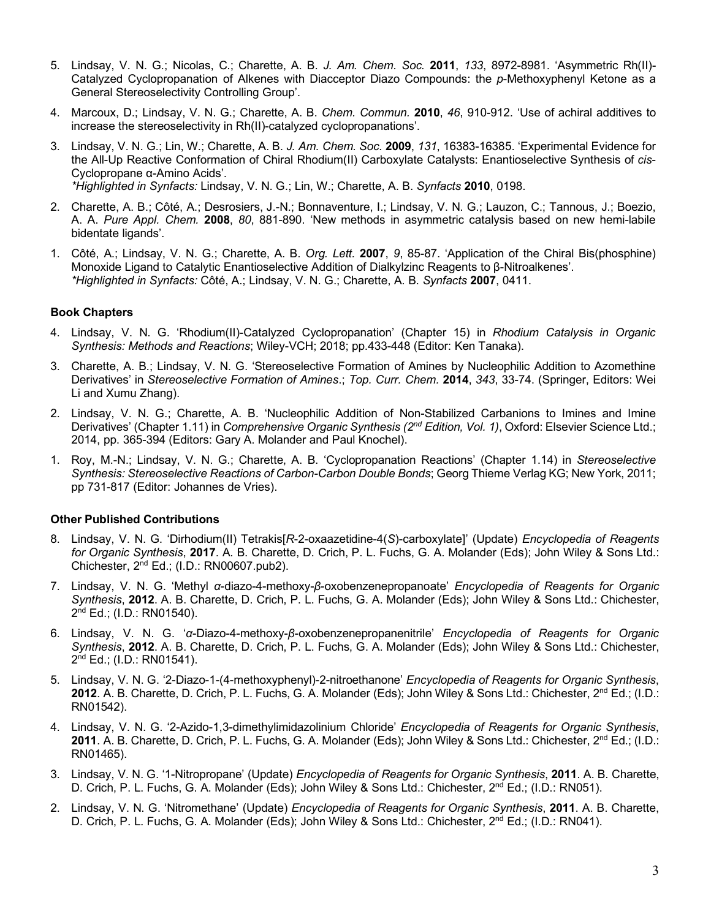- 5. Lindsay, V. N. G.; Nicolas, C.; Charette, A. B. *J. Am. Chem. Soc.* **2011**, *133*, 8972-8981. 'Asymmetric Rh(II)- Catalyzed Cyclopropanation of Alkenes with Diacceptor Diazo Compounds: the *p*-Methoxyphenyl Ketone as a General Stereoselectivity Controlling Group'.
- 4. Marcoux, D.; Lindsay, V. N. G.; Charette, A. B. *Chem. Commun.* **2010**, *46*, 910-912. 'Use of achiral additives to increase the stereoselectivity in Rh(II)-catalyzed cyclopropanations'.
- 3. Lindsay, V. N. G.; Lin, W.; Charette, A. B. *J. Am. Chem. Soc.* **2009**, *131*, 16383-16385. 'Experimental Evidence for the All-Up Reactive Conformation of Chiral Rhodium(II) Carboxylate Catalysts: Enantioselective Synthesis of *cis*-Cyclopropane α-Amino Acids'. *\*Highlighted in Synfacts:* Lindsay, V. N. G.; Lin, W.; Charette, A. B. *Synfacts* **2010**, 0198.
- 2. Charette, A. B.; Côté, A.; Desrosiers, J.-N.; Bonnaventure, I.; Lindsay, V. N. G.; Lauzon, C.; Tannous, J.; Boezio, A. A. *Pure Appl. Chem.* **2008**, *80*, 881-890. 'New methods in asymmetric catalysis based on new hemi-labile bidentate ligands'.
- 1. Côté, A.; Lindsay, V. N. G.; Charette, A. B. *Org. Lett.* **2007**, *9*, 85-87. 'Application of the Chiral Bis(phosphine) Monoxide Ligand to Catalytic Enantioselective Addition of Dialkylzinc Reagents to β-Nitroalkenes'. *\*Highlighted in Synfacts:* Côté, A.; Lindsay, V. N. G.; Charette, A. B. *Synfacts* **2007**, 0411.

# **Book Chapters**

- 4. Lindsay, V. N. G. 'Rhodium(II)-Catalyzed Cyclopropanation' (Chapter 15) in *Rhodium Catalysis in Organic Synthesis: Methods and Reactions*; Wiley-VCH; 2018; pp.433-448 (Editor: Ken Tanaka).
- 3. Charette, A. B.; Lindsay, V. N. G. 'Stereoselective Formation of Amines by Nucleophilic Addition to Azomethine Derivatives' in *Stereoselective Formation of Amines*.; *Top. Curr. Chem.* **2014**, *343*, 33-74. (Springer, Editors: Wei Li and Xumu Zhang).
- 2. Lindsay, V. N. G.; Charette, A. B. 'Nucleophilic Addition of Non-Stabilized Carbanions to Imines and Imine Derivatives' (Chapter 1.11) in *Comprehensive Organic Synthesis (2nd Edition, Vol. 1)*, Oxford: Elsevier Science Ltd.; 2014, pp. 365-394 (Editors: Gary A. Molander and Paul Knochel).
- 1. Roy, M.-N.; Lindsay, V. N. G.; Charette, A. B. 'Cyclopropanation Reactions' (Chapter 1.14) in *Stereoselective Synthesis: Stereoselective Reactions of Carbon-Carbon Double Bonds*; Georg Thieme Verlag KG; New York, 2011; pp 731-817 (Editor: Johannes de Vries).

## **Other Published Contributions**

- 8. Lindsay, V. N. G. 'Dirhodium(II) Tetrakis[*R*-2-oxaazetidine-4(*S*)-carboxylate]' (Update) *Encyclopedia of Reagents for Organic Synthesis*, **2017**. A. B. Charette, D. Crich, P. L. Fuchs, G. A. Molander (Eds); John Wiley & Sons Ltd.: Chichester, 2nd Ed.; (I.D.: RN00607.pub2).
- 7. Lindsay, V. N. G. 'Methyl *α*-diazo-4-methoxy-*β*-oxobenzenepropanoate' *Encyclopedia of Reagents for Organic Synthesis*, **2012**. A. B. Charette, D. Crich, P. L. Fuchs, G. A. Molander (Eds); John Wiley & Sons Ltd.: Chichester, 2<sup>nd</sup> Ed.; (I.D.: RN01540).
- 6. Lindsay, V. N. G. '*α*-Diazo-4-methoxy-*β*-oxobenzenepropanenitrile' *Encyclopedia of Reagents for Organic Synthesis*, **2012**. A. B. Charette, D. Crich, P. L. Fuchs, G. A. Molander (Eds); John Wiley & Sons Ltd.: Chichester, 2<sup>nd</sup> Ed.; (I.D.: RN01541).
- 5. Lindsay, V. N. G. '2-Diazo-1-(4-methoxyphenyl)-2-nitroethanone' *Encyclopedia of Reagents for Organic Synthesis*, **2012**. A. B. Charette, D. Crich, P. L. Fuchs, G. A. Molander (Eds); John Wiley & Sons Ltd.: Chichester, 2nd Ed.; (I.D.: RN01542).
- 4. Lindsay, V. N. G. '2-Azido-1,3-dimethylimidazolinium Chloride' *Encyclopedia of Reagents for Organic Synthesis*, **2011**. A. B. Charette, D. Crich, P. L. Fuchs, G. A. Molander (Eds); John Wiley & Sons Ltd.: Chichester, 2nd Ed.; (I.D.: RN01465).
- 3. Lindsay, V. N. G. '1-Nitropropane' (Update) *Encyclopedia of Reagents for Organic Synthesis*, **2011**. A. B. Charette, D. Crich, P. L. Fuchs, G. A. Molander (Eds); John Wiley & Sons Ltd.: Chichester, 2<sup>nd</sup> Ed.; (I.D.: RN051).
- 2. Lindsay, V. N. G. 'Nitromethane' (Update) *Encyclopedia of Reagents for Organic Synthesis*, **2011**. A. B. Charette, D. Crich, P. L. Fuchs, G. A. Molander (Eds); John Wiley & Sons Ltd.: Chichester, 2<sup>nd</sup> Ed.; (I.D.: RN041).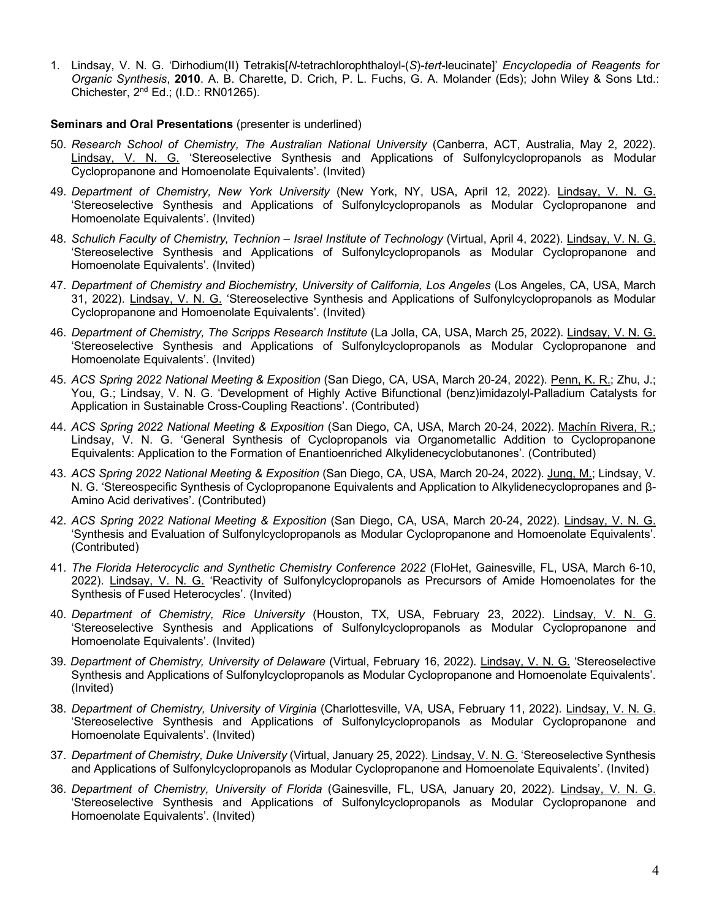1. Lindsay, V. N. G. 'Dirhodium(II) Tetrakis[*N*-tetrachlorophthaloyl-(*S*)-*tert*-leucinate]' *Encyclopedia of Reagents for Organic Synthesis*, **2010**. A. B. Charette, D. Crich, P. L. Fuchs, G. A. Molander (Eds); John Wiley & Sons Ltd.: Chichester, 2nd Ed.; (I.D.: RN01265).

## **Seminars and Oral Presentations** (presenter is underlined)

- 50. *Research School of Chemistry, The Australian National University* (Canberra, ACT, Australia, May 2, 2022). Lindsay, V. N. G. 'Stereoselective Synthesis and Applications of Sulfonylcyclopropanols as Modular Cyclopropanone and Homoenolate Equivalents'. (Invited)
- 49. *Department of Chemistry, New York University* (New York, NY, USA, April 12, 2022). Lindsay, V. N. G. 'Stereoselective Synthesis and Applications of Sulfonylcyclopropanols as Modular Cyclopropanone and Homoenolate Equivalents'. (Invited)
- 48. *Schulich Faculty of Chemistry, Technion – Israel Institute of Technology* (Virtual, April 4, 2022). Lindsay, V. N. G. 'Stereoselective Synthesis and Applications of Sulfonylcyclopropanols as Modular Cyclopropanone and Homoenolate Equivalents'. (Invited)
- 47. *Department of Chemistry and Biochemistry, University of California, Los Angeles* (Los Angeles, CA, USA, March 31, 2022). Lindsay, V. N. G. 'Stereoselective Synthesis and Applications of Sulfonylcyclopropanols as Modular Cyclopropanone and Homoenolate Equivalents'. (Invited)
- 46. *Department of Chemistry, The Scripps Research Institute* (La Jolla, CA, USA, March 25, 2022). Lindsay, V. N. G. 'Stereoselective Synthesis and Applications of Sulfonylcyclopropanols as Modular Cyclopropanone and Homoenolate Equivalents'. (Invited)
- 45. *ACS Spring 2022 National Meeting & Exposition* (San Diego, CA, USA, March 20-24, 2022). Penn, K. R.; Zhu, J.; You, G.; Lindsay, V. N. G. 'Development of Highly Active Bifunctional (benz)imidazolyl-Palladium Catalysts for Application in Sustainable Cross-Coupling Reactions'. (Contributed)
- 44. *ACS Spring 2022 National Meeting & Exposition* (San Diego, CA, USA, March 20-24, 2022). Machín Rivera, R.; Lindsay, V. N. G. 'General Synthesis of Cyclopropanols via Organometallic Addition to Cyclopropanone Equivalents: Application to the Formation of Enantioenriched Alkylidenecyclobutanones'. (Contributed)
- 43. *ACS Spring 2022 National Meeting & Exposition* (San Diego, CA, USA, March 20-24, 2022). Jung, M.; Lindsay, V. N. G. 'Stereospecific Synthesis of Cyclopropanone Equivalents and Application to Alkylidenecyclopropanes and β-Amino Acid derivatives'. (Contributed)
- 42. *ACS Spring 2022 National Meeting & Exposition* (San Diego, CA, USA, March 20-24, 2022). Lindsay, V. N. G. 'Synthesis and Evaluation of Sulfonylcyclopropanols as Modular Cyclopropanone and Homoenolate Equivalents'. (Contributed)
- 41. *The Florida Heterocyclic and Synthetic Chemistry Conference 2022* (FloHet, Gainesville, FL, USA, March 6-10, 2022). Lindsay, V. N. G. 'Reactivity of Sulfonylcyclopropanols as Precursors of Amide Homoenolates for the Synthesis of Fused Heterocycles'. (Invited)
- 40. *Department of Chemistry, Rice University* (Houston, TX, USA, February 23, 2022). Lindsay, V. N. G. 'Stereoselective Synthesis and Applications of Sulfonylcyclopropanols as Modular Cyclopropanone and Homoenolate Equivalents'. (Invited)
- 39. *Department of Chemistry, University of Delaware* (Virtual, February 16, 2022). Lindsay, V. N. G. 'Stereoselective Synthesis and Applications of Sulfonylcyclopropanols as Modular Cyclopropanone and Homoenolate Equivalents'. (Invited)
- 38. *Department of Chemistry, University of Virginia* (Charlottesville, VA, USA, February 11, 2022). Lindsay, V. N. G. 'Stereoselective Synthesis and Applications of Sulfonylcyclopropanols as Modular Cyclopropanone and Homoenolate Equivalents'. (Invited)
- 37. *Department of Chemistry, Duke University* (Virtual, January 25, 2022). Lindsay, V. N. G. 'Stereoselective Synthesis and Applications of Sulfonylcyclopropanols as Modular Cyclopropanone and Homoenolate Equivalents'. (Invited)
- 36. *Department of Chemistry, University of Florida* (Gainesville, FL, USA, January 20, 2022). Lindsay, V. N. G. 'Stereoselective Synthesis and Applications of Sulfonylcyclopropanols as Modular Cyclopropanone and Homoenolate Equivalents'. (Invited)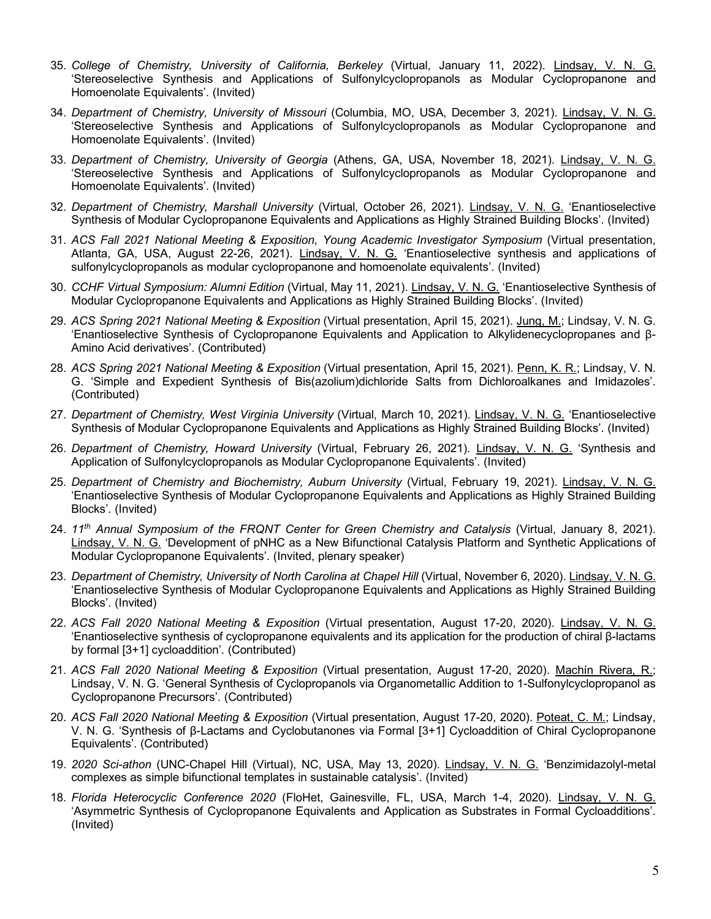- 35. *College of Chemistry, University of California, Berkeley* (Virtual, January 11, 2022). Lindsay, V. N. G. 'Stereoselective Synthesis and Applications of Sulfonylcyclopropanols as Modular Cyclopropanone and Homoenolate Equivalents'. (Invited)
- 34. *Department of Chemistry, University of Missouri* (Columbia, MO, USA, December 3, 2021). Lindsay, V. N. G. 'Stereoselective Synthesis and Applications of Sulfonylcyclopropanols as Modular Cyclopropanone and Homoenolate Equivalents'. (Invited)
- 33. *Department of Chemistry, University of Georgia* (Athens, GA, USA, November 18, 2021). Lindsay, V. N. G. 'Stereoselective Synthesis and Applications of Sulfonylcyclopropanols as Modular Cyclopropanone and Homoenolate Equivalents'. (Invited)
- 32. *Department of Chemistry, Marshall University* (Virtual, October 26, 2021). Lindsay, V. N. G. 'Enantioselective Synthesis of Modular Cyclopropanone Equivalents and Applications as Highly Strained Building Blocks'. (Invited)
- 31. *ACS Fall 2021 National Meeting & Exposition*, *Young Academic Investigator Symposium* (Virtual presentation, Atlanta, GA, USA, August 22-26, 2021). Lindsay, V. N. G. 'Enantioselective synthesis and applications of sulfonylcyclopropanols as modular cyclopropanone and homoenolate equivalents'. (Invited)
- 30. *CCHF Virtual Symposium: Alumni Edition* (Virtual, May 11, 2021). Lindsay, V. N. G. 'Enantioselective Synthesis of Modular Cyclopropanone Equivalents and Applications as Highly Strained Building Blocks'. (Invited)
- 29. *ACS Spring 2021 National Meeting & Exposition* (Virtual presentation, April 15, 2021). Jung, M.; Lindsay, V. N. G. 'Enantioselective Synthesis of Cyclopropanone Equivalents and Application to Alkylidenecyclopropanes and β-Amino Acid derivatives'. (Contributed)
- 28. *ACS Spring 2021 National Meeting & Exposition* (Virtual presentation, April 15, 2021). Penn, K. R.; Lindsay, V. N. G. 'Simple and Expedient Synthesis of Bis(azolium)dichloride Salts from Dichloroalkanes and Imidazoles'. (Contributed)
- 27. *Department of Chemistry, West Virginia University* (Virtual, March 10, 2021). Lindsay, V. N. G. 'Enantioselective Synthesis of Modular Cyclopropanone Equivalents and Applications as Highly Strained Building Blocks'. (Invited)
- 26. *Department of Chemistry, Howard University* (Virtual, February 26, 2021). Lindsay, V. N. G. 'Synthesis and Application of Sulfonylcyclopropanols as Modular Cyclopropanone Equivalents'. (Invited)
- 25. *Department of Chemistry and Biochemistry, Auburn University* (Virtual, February 19, 2021). Lindsay, V. N. G. 'Enantioselective Synthesis of Modular Cyclopropanone Equivalents and Applications as Highly Strained Building Blocks'. (Invited)
- 24. *11th Annual Symposium of the FRQNT Center for Green Chemistry and Catalysis* (Virtual, January 8, 2021). Lindsay, V. N. G. 'Development of pNHC as a New Bifunctional Catalysis Platform and Synthetic Applications of Modular Cyclopropanone Equivalents'. (Invited, plenary speaker)
- 23. *Department of Chemistry, University of North Carolina at Chapel Hill* (Virtual, November 6, 2020). Lindsay, V. N. G. 'Enantioselective Synthesis of Modular Cyclopropanone Equivalents and Applications as Highly Strained Building Blocks'. (Invited)
- 22. *ACS Fall 2020 National Meeting & Exposition* (Virtual presentation, August 17-20, 2020). Lindsay, V. N. G. 'Enantioselective synthesis of cyclopropanone equivalents and its application for the production of chiral β-lactams by formal [3+1] cycloaddition'. (Contributed)
- 21. *ACS Fall 2020 National Meeting & Exposition* (Virtual presentation, August 17-20, 2020). Machín Rivera, R.; Lindsay, V. N. G. 'General Synthesis of Cyclopropanols via Organometallic Addition to 1-Sulfonylcyclopropanol as Cyclopropanone Precursors'. (Contributed)
- 20. *ACS Fall 2020 National Meeting & Exposition* (Virtual presentation, August 17-20, 2020). Poteat, C. M.; Lindsay, V. N. G. 'Synthesis of β-Lactams and Cyclobutanones via Formal [3+1] Cycloaddition of Chiral Cyclopropanone Equivalents'. (Contributed)
- 19. *2020 Sci-athon* (UNC-Chapel Hill (Virtual), NC, USA, May 13, 2020). Lindsay, V. N. G. 'Benzimidazolyl-metal complexes as simple bifunctional templates in sustainable catalysis'. (Invited)
- 18. *Florida Heterocyclic Conference 2020* (FloHet, Gainesville, FL, USA, March 1-4, 2020). Lindsay, V. N. G. 'Asymmetric Synthesis of Cyclopropanone Equivalents and Application as Substrates in Formal Cycloadditions'. (Invited)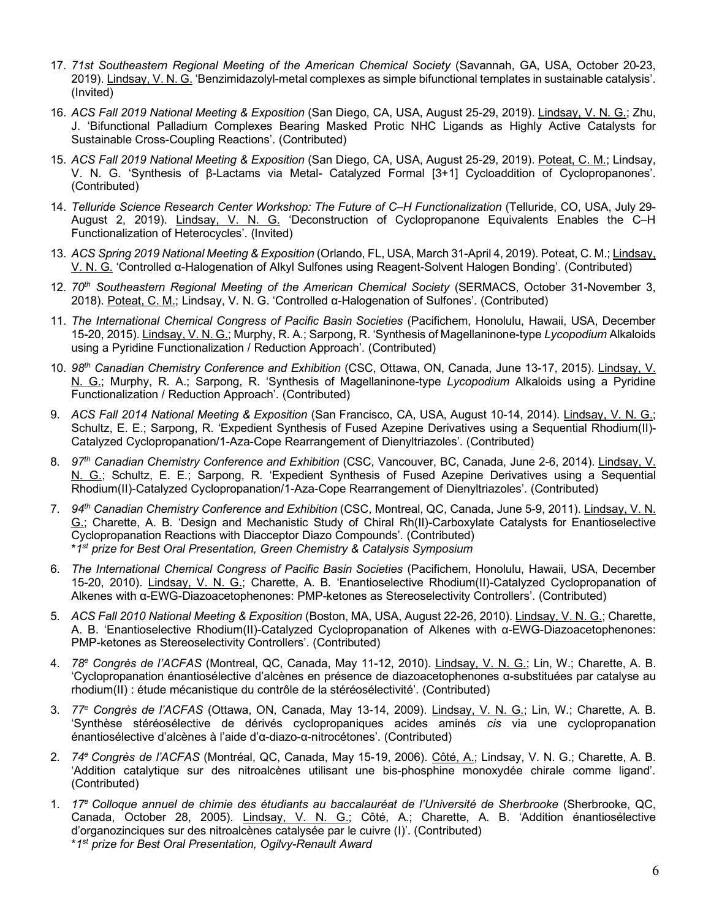- 17. *71st Southeastern Regional Meeting of the American Chemical Society* (Savannah, GA, USA, October 20-23, 2019). Lindsay, V. N. G. 'Benzimidazolyl-metal complexes as simple bifunctional templates in sustainable catalysis'. (Invited)
- 16. *ACS Fall 2019 National Meeting & Exposition* (San Diego, CA, USA, August 25-29, 2019). Lindsay, V. N. G.; Zhu, J. 'Bifunctional Palladium Complexes Bearing Masked Protic NHC Ligands as Highly Active Catalysts for Sustainable Cross-Coupling Reactions'. (Contributed)
- 15. *ACS Fall 2019 National Meeting & Exposition* (San Diego, CA, USA, August 25-29, 2019). Poteat, C. M.; Lindsay, V. N. G. 'Synthesis of β-Lactams via Metal- Catalyzed Formal [3+1] Cycloaddition of Cyclopropanones'. (Contributed)
- 14. *Telluride Science Research Center Workshop: The Future of C–H Functionalization* (Telluride, CO, USA, July 29- August 2, 2019). Lindsay, V. N. G. 'Deconstruction of Cyclopropanone Equivalents Enables the C–H Functionalization of Heterocycles'. (Invited)
- 13. *ACS Spring 2019 National Meeting & Exposition* (Orlando, FL, USA, March 31-April 4, 2019). Poteat, C. M.; Lindsay, V. N. G. 'Controlled α-Halogenation of Alkyl Sulfones using Reagent-Solvent Halogen Bonding'. (Contributed)
- 12. *70th Southeastern Regional Meeting of the American Chemical Society* (SERMACS, October 31-November 3, 2018). Poteat, C. M.; Lindsay, V. N. G. 'Controlled α-Halogenation of Sulfones'. (Contributed)
- 11. *The International Chemical Congress of Pacific Basin Societies* (Pacifichem, Honolulu, Hawaii, USA, December 15-20, 2015). Lindsay, V. N. G.; Murphy, R. A.; Sarpong, R. 'Synthesis of Magellaninone-type *Lycopodium* Alkaloids using a Pyridine Functionalization / Reduction Approach'. (Contributed)
- 10. *98th Canadian Chemistry Conference and Exhibition* (CSC, Ottawa, ON, Canada, June 13-17, 2015). Lindsay, V. N. G.; Murphy, R. A.; Sarpong, R. 'Synthesis of Magellaninone-type *Lycopodium* Alkaloids using a Pyridine Functionalization / Reduction Approach'. (Contributed)
- 9. *ACS Fall 2014 National Meeting & Exposition* (San Francisco, CA, USA, August 10-14, 2014). Lindsay, V. N. G.; Schultz, E. E.; Sarpong, R. 'Expedient Synthesis of Fused Azepine Derivatives using a Sequential Rhodium(II)- Catalyzed Cyclopropanation/1-Aza-Cope Rearrangement of Dienyltriazoles'. (Contributed)
- 8. *97th Canadian Chemistry Conference and Exhibition* (CSC, Vancouver, BC, Canada, June 2-6, 2014). Lindsay, V. N. G.; Schultz, E. E.; Sarpong, R. 'Expedient Synthesis of Fused Azepine Derivatives using a Sequential Rhodium(II)-Catalyzed Cyclopropanation/1-Aza-Cope Rearrangement of Dienyltriazoles'. (Contributed)
- 7. *94th Canadian Chemistry Conference and Exhibition* (CSC, Montreal, QC, Canada, June 5-9, 2011). Lindsay, V. N. G.; Charette, A. B. 'Design and Mechanistic Study of Chiral Rh(II)-Carboxylate Catalysts for Enantioselective Cyclopropanation Reactions with Diacceptor Diazo Compounds'. (Contributed) \**1st prize for Best Oral Presentation, Green Chemistry & Catalysis Symposium*
- 6. *The International Chemical Congress of Pacific Basin Societies* (Pacifichem, Honolulu, Hawaii, USA, December 15-20, 2010). Lindsay, V. N. G.; Charette, A. B. 'Enantioselective Rhodium(II)-Catalyzed Cyclopropanation of Alkenes with α-EWG-Diazoacetophenones: PMP-ketones as Stereoselectivity Controllers'. (Contributed)
- 5. *ACS Fall 2010 National Meeting & Exposition* (Boston, MA, USA, August 22-26, 2010). Lindsay, V. N. G.; Charette, A. B. 'Enantioselective Rhodium(II)-Catalyzed Cyclopropanation of Alkenes with α-EWG-Diazoacetophenones: PMP-ketones as Stereoselectivity Controllers'. (Contributed)
- 4. *78e Congrès de l'ACFAS* (Montreal, QC, Canada, May 11-12, 2010). Lindsay, V. N. G.; Lin, W.; Charette, A. B. 'Cyclopropanation énantiosélective d'alcènes en présence de diazoacetophenones α-substituées par catalyse au rhodium(II) : étude mécanistique du contrôle de la stéréosélectivité'. (Contributed)
- 3. *77e Congrès de l'ACFAS* (Ottawa, ON, Canada, May 13-14, 2009). Lindsay, V. N. G.; Lin, W.; Charette, A. B. 'Synthèse stéréosélective de dérivés cyclopropaniques acides aminés *cis* via une cyclopropanation énantiosélective d'alcènes à l'aide d'α-diazo-α-nitrocétones'. (Contributed)
- 2. *74e Congrès de l'ACFAS* (Montréal, QC, Canada, May 15-19, 2006). Côté, A.; Lindsay, V. N. G.; Charette, A. B. 'Addition catalytique sur des nitroalcènes utilisant une bis-phosphine monoxydée chirale comme ligand'. (Contributed)
- 1. *17e Colloque annuel de chimie des étudiants au baccalauréat de l'Université de Sherbrooke* (Sherbrooke, QC, Canada, October 28, 2005). Lindsay, V. N. G.; Côté, A.; Charette, A. B. 'Addition énantiosélective d'organozinciques sur des nitroalcènes catalysée par le cuivre (I)'. (Contributed)

\**1st prize for Best Oral Presentation, Ogilvy-Renault Award*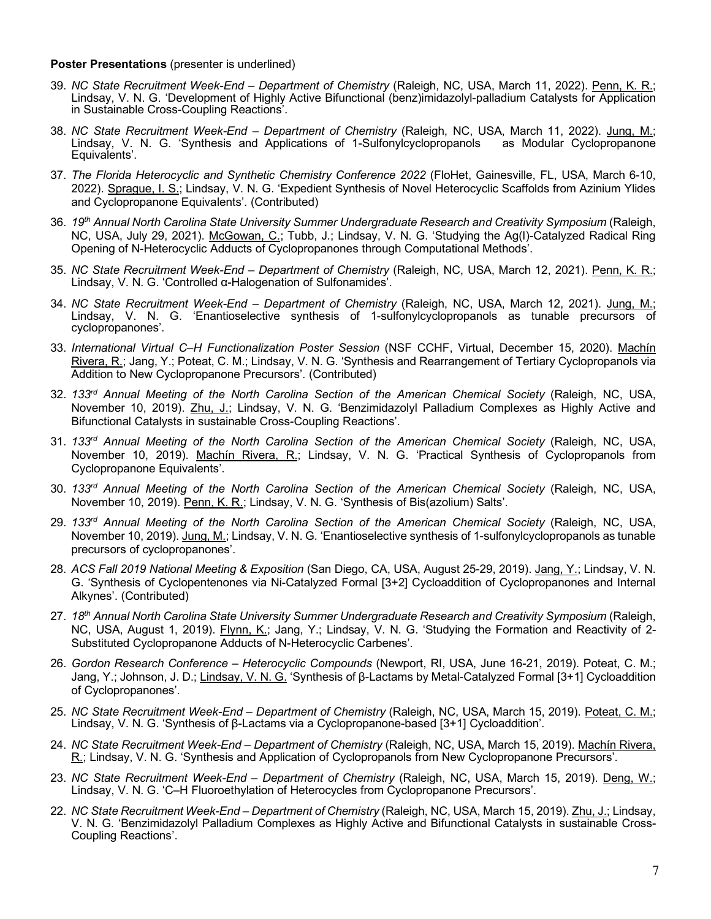#### **Poster Presentations** (presenter is underlined)

- 39. *NC State Recruitment Week-End – Department of Chemistry* (Raleigh, NC, USA, March 11, 2022). Penn, K. R.; Lindsay, V. N. G. 'Development of Highly Active Bifunctional (benz)imidazolyl-palladium Catalysts for Application in Sustainable Cross-Coupling Reactions'.
- 38. *NC State Recruitment Week-End – Department of Chemistry* (Raleigh, NC, USA, March 11, 2022). Jung, M.; Lindsay, V. N. G. 'Synthesis and Applications of 1-Sulfonylcyclopropanols as Modular Cyclopropanone Equivalents'.
- 37. *The Florida Heterocyclic and Synthetic Chemistry Conference 2022* (FloHet, Gainesville, FL, USA, March 6-10, 2022). Sprague, I. S.; Lindsay, V. N. G. 'Expedient Synthesis of Novel Heterocyclic Scaffolds from Azinium Ylides and Cyclopropanone Equivalents'. (Contributed)
- 36. *19th Annual North Carolina State University Summer Undergraduate Research and Creativity Symposium* (Raleigh, NC, USA, July 29, 2021). McGowan, C.; Tubb, J.; Lindsay, V. N. G. 'Studying the Ag(I)-Catalyzed Radical Ring Opening of N-Heterocyclic Adducts of Cyclopropanones through Computational Methods'.
- 35. *NC State Recruitment Week-End – Department of Chemistry* (Raleigh, NC, USA, March 12, 2021). Penn, K. R.; Lindsay, V. N. G. 'Controlled α-Halogenation of Sulfonamides'.
- 34. *NC State Recruitment Week-End – Department of Chemistry* (Raleigh, NC, USA, March 12, 2021). Jung, M.; Lindsay, V. N. G. 'Enantioselective synthesis of 1-sulfonylcyclopropanols as tunable precursors of cyclopropanones'.
- 33. *International Virtual C–H Functionalization Poster Session* (NSF CCHF, Virtual, December 15, 2020). Machín Rivera, R.; Jang, Y.; Poteat, C. M.; Lindsay, V. N. G. 'Synthesis and Rearrangement of Tertiary Cyclopropanols via Addition to New Cyclopropanone Precursors'. (Contributed)
- 32. *133rd Annual Meeting of the North Carolina Section of the American Chemical Society* (Raleigh, NC, USA, November 10, 2019). Zhu, J.; Lindsay, V. N. G. 'Benzimidazolyl Palladium Complexes as Highly Active and Bifunctional Catalysts in sustainable Cross-Coupling Reactions'.
- 31. *133rd Annual Meeting of the North Carolina Section of the American Chemical Society* (Raleigh, NC, USA, November 10, 2019). Machín Rivera, R.; Lindsay, V. N. G. 'Practical Synthesis of Cyclopropanols from Cyclopropanone Equivalents'.
- 30. *133rd Annual Meeting of the North Carolina Section of the American Chemical Society* (Raleigh, NC, USA, November 10, 2019). Penn, K. R.; Lindsay, V. N. G. 'Synthesis of Bis(azolium) Salts'.
- 29. *133rd Annual Meeting of the North Carolina Section of the American Chemical Society* (Raleigh, NC, USA, November 10, 2019). Jung, M.; Lindsay, V. N. G. 'Enantioselective synthesis of 1-sulfonylcyclopropanols as tunable precursors of cyclopropanones'.
- 28. *ACS Fall 2019 National Meeting & Exposition* (San Diego, CA, USA, August 25-29, 2019). Jang, Y.; Lindsay, V. N. G. 'Synthesis of Cyclopentenones via Ni-Catalyzed Formal [3+2] Cycloaddition of Cyclopropanones and Internal Alkynes'. (Contributed)
- 27. *18th Annual North Carolina State University Summer Undergraduate Research and Creativity Symposium* (Raleigh, NC, USA, August 1, 2019). Flynn, K.; Jang, Y.; Lindsay, V. N. G. 'Studying the Formation and Reactivity of 2-Substituted Cyclopropanone Adducts of N-Heterocyclic Carbenes'.
- 26. *Gordon Research Conference – Heterocyclic Compounds* (Newport, RI, USA, June 16-21, 2019). Poteat, C. M.; Jang, Y.; Johnson, J. D.; Lindsay, V. N. G. 'Synthesis of β-Lactams by Metal-Catalyzed Formal [3+1] Cycloaddition of Cyclopropanones'.
- 25. *NC State Recruitment Week-End – Department of Chemistry* (Raleigh, NC, USA, March 15, 2019). Poteat, C. M.; Lindsay, V. N. G. 'Synthesis of β-Lactams via a Cyclopropanone-based [3+1] Cycloaddition'.
- 24. *NC State Recruitment Week-End – Department of Chemistry* (Raleigh, NC, USA, March 15, 2019). Machín Rivera, R.; Lindsay, V. N. G. 'Synthesis and Application of Cyclopropanols from New Cyclopropanone Precursors'.
- 23. *NC State Recruitment Week-End – Department of Chemistry* (Raleigh, NC, USA, March 15, 2019). Deng, W.; Lindsay, V. N. G. 'C–H Fluoroethylation of Heterocycles from Cyclopropanone Precursors'.
- 22. *NC State Recruitment Week-End – Department of Chemistry* (Raleigh, NC, USA, March 15, 2019). Zhu, J.; Lindsay, V. N. G. 'Benzimidazolyl Palladium Complexes as Highly Active and Bifunctional Catalysts in sustainable Cross-Coupling Reactions'.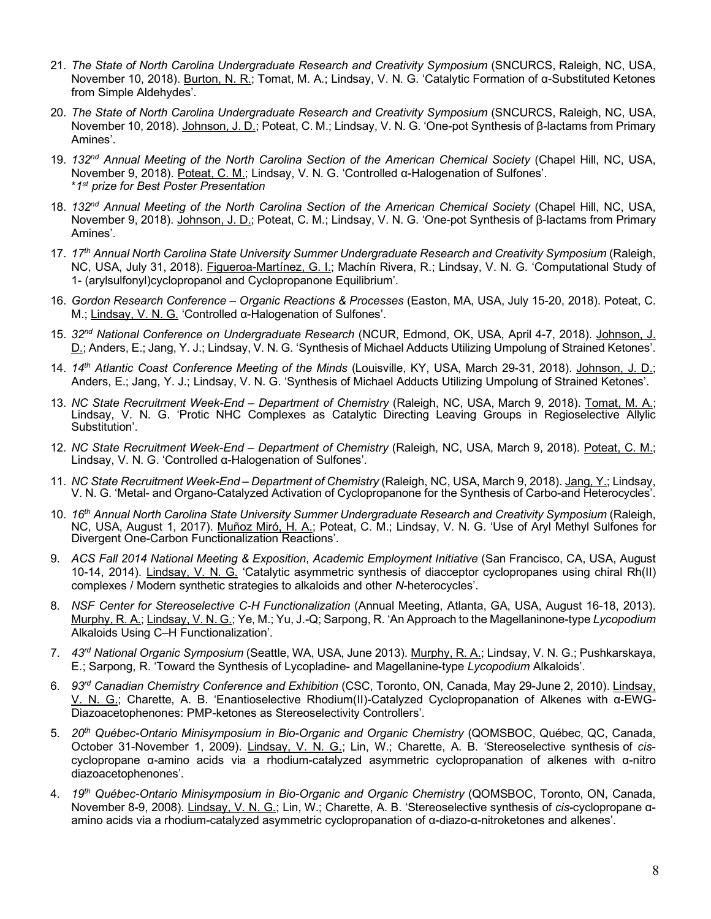- 21. *The State of North Carolina Undergraduate Research and Creativity Symposium* (SNCURCS, Raleigh, NC, USA, November 10, 2018). Burton, N. R.; Tomat, M. A.; Lindsay, V. N. G. 'Catalytic Formation of α-Substituted Ketones from Simple Aldehydes'.
- 20. *The State of North Carolina Undergraduate Research and Creativity Symposium* (SNCURCS, Raleigh, NC, USA, November 10, 2018). Johnson, J. D.; Poteat, C. M.; Lindsay, V. N. G. 'One-pot Synthesis of β-lactams from Primary Amines'.
- 19. *132nd Annual Meeting of the North Carolina Section of the American Chemical Society* (Chapel Hill, NC, USA, November 9, 2018). Poteat, C. M.; Lindsay, V. N. G. 'Controlled α-Halogenation of Sulfones'. \**1st prize for Best Poster Presentation*
- 18. *132nd Annual Meeting of the North Carolina Section of the American Chemical Society* (Chapel Hill, NC, USA, November 9, 2018). Johnson, J. D.; Poteat, C. M.; Lindsay, V. N. G. 'One-pot Synthesis of β-lactams from Primary Amines'.
- 17. *17th Annual North Carolina State University Summer Undergraduate Research and Creativity Symposium* (Raleigh, NC, USA, July 31, 2018). Figueroa-Martínez, G. I.; Machín Rivera, R.; Lindsay, V. N. G. 'Computational Study of 1- (arylsulfonyl)cyclopropanol and Cyclopropanone Equilibrium'.
- 16. *Gordon Research Conference – Organic Reactions & Processes* (Easton, MA, USA, July 15-20, 2018). Poteat, C. M.; Lindsay, V. N. G. 'Controlled α-Halogenation of Sulfones'.
- 15. *32nd National Conference on Undergraduate Research* (NCUR, Edmond, OK, USA, April 4-7, 2018). Johnson, J. D.; Anders, E.; Jang, Y. J.; Lindsay, V. N. G. 'Synthesis of Michael Adducts Utilizing Umpolung of Strained Ketones'.
- 14. *14th Atlantic Coast Conference Meeting of the Minds* (Louisville, KY, USA, March 29-31, 2018). Johnson, J. D.; Anders, E.; Jang, Y. J.; Lindsay, V. N. G. 'Synthesis of Michael Adducts Utilizing Umpolung of Strained Ketones'.
- 13. *NC State Recruitment Week-End – Department of Chemistry* (Raleigh, NC, USA, March 9, 2018). Tomat, M. A.; Lindsay, V. N. G. 'Protic NHC Complexes as Catalytic Directing Leaving Groups in Regioselective Allylic Substitution'.
- 12. *NC State Recruitment Week-End – Department of Chemistry* (Raleigh, NC, USA, March 9, 2018). Poteat, C. M.; Lindsay, V. N. G. 'Controlled α-Halogenation of Sulfones'.
- 11. *NC State Recruitment Week-End – Department of Chemistry* (Raleigh, NC, USA, March 9, 2018). Jang, Y.; Lindsay, V. N. G. 'Metal- and Organo-Catalyzed Activation of Cyclopropanone for the Synthesis of Carbo-and Heterocycles'.
- 10. *16th Annual North Carolina State University Summer Undergraduate Research and Creativity Symposium* (Raleigh, NC, USA, August 1, 2017). Muñoz Miró, H. A.; Poteat, C. M.; Lindsay, V. N. G. 'Use of Aryl Methyl Sulfones for Divergent One-Carbon Functionalization Reactions'.
- 9. *ACS Fall 2014 National Meeting & Exposition*, *Academic Employment Initiative* (San Francisco, CA, USA, August 10-14, 2014). Lindsay, V. N. G. 'Catalytic asymmetric synthesis of diacceptor cyclopropanes using chiral Rh(II) complexes / Modern synthetic strategies to alkaloids and other *N*-heterocycles'.
- 8. *NSF Center for Stereoselective C-H Functionalization* (Annual Meeting, Atlanta, GA, USA, August 16-18, 2013). Murphy, R. A.; Lindsay, V. N. G.; Ye, M.; Yu, J.-Q; Sarpong, R. 'An Approach to the Magellaninone-type *Lycopodium*  Alkaloids Using C–H Functionalization'.
- 7. *43rd National Organic Symposium* (Seattle, WA, USA, June 2013). Murphy, R. A.; Lindsay, V. N. G.; Pushkarskaya, E.; Sarpong, R. 'Toward the Synthesis of Lycopladine- and Magellanine-type *Lycopodium* Alkaloids'.
- 6. *93rd Canadian Chemistry Conference and Exhibition* (CSC, Toronto, ON, Canada, May 29-June 2, 2010). Lindsay, V. N. G.; Charette, A. B. 'Enantioselective Rhodium(II)-Catalyzed Cyclopropanation of Alkenes with α-EWG-Diazoacetophenones: PMP-ketones as Stereoselectivity Controllers'.
- 5. *20th Québec-Ontario Minisymposium in Bio-Organic and Organic Chemistry* (QOMSBOC, Québec, QC, Canada, October 31-November 1, 2009). Lindsay, V. N. G.; Lin, W.; Charette, A. B. 'Stereoselective synthesis of *cis*cyclopropane α-amino acids via a rhodium-catalyzed asymmetric cyclopropanation of alkenes with α-nitro diazoacetophenones'.
- 4. *19th Québec-Ontario Minisymposium in Bio-Organic and Organic Chemistry* (QOMSBOC, Toronto, ON, Canada, November 8-9, 2008). Lindsay, V. N. G.; Lin, W.; Charette, A. B. 'Stereoselective synthesis of *cis*-cyclopropane αamino acids via a rhodium-catalyzed asymmetric cyclopropanation of α-diazo-α-nitroketones and alkenes'.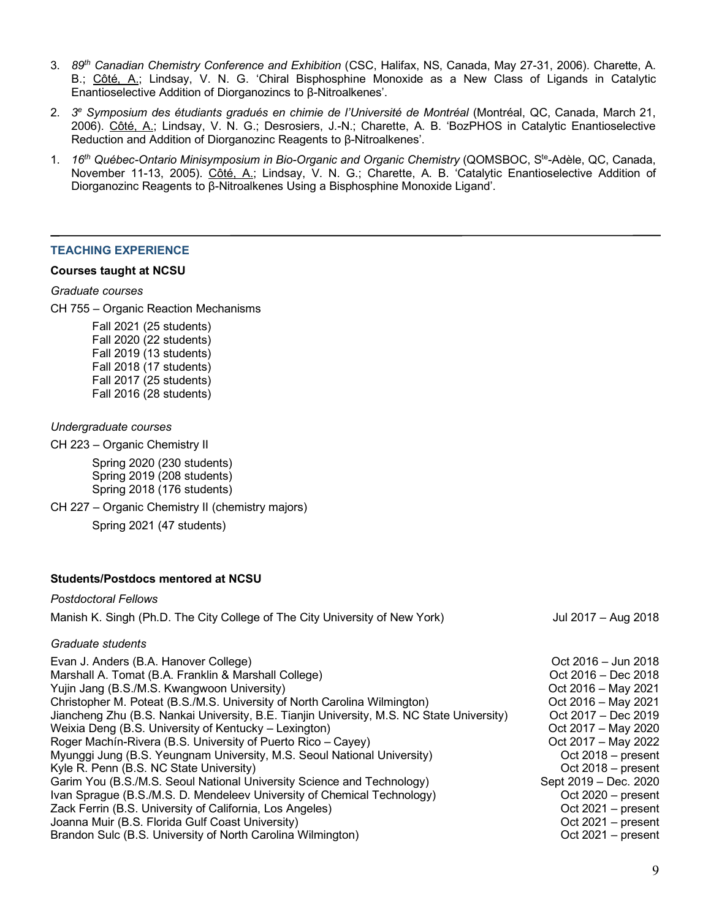- 3. *89th Canadian Chemistry Conference and Exhibition* (CSC, Halifax, NS, Canada, May 27-31, 2006). Charette, A. B.; Côté, A.; Lindsay, V. N. G. 'Chiral Bisphosphine Monoxide as a New Class of Ligands in Catalytic Enantioselective Addition of Diorganozincs to β-Nitroalkenes'.
- 2. *3e Symposium des étudiants gradués en chimie de l'Université de Montréal* (Montréal, QC, Canada, March 21, 2006). Côté, A.; Lindsay, V. N. G.; Desrosiers, J.-N.; Charette, A. B. 'BozPHOS in Catalytic Enantioselective Reduction and Addition of Diorganozinc Reagents to β-Nitroalkenes'.
- 1. *16th Québec-Ontario Minisymposium in Bio-Organic and Organic Chemistry* (QOMSBOC, Ste-Adèle, QC, Canada, November 11-13, 2005). Côté, A.; Lindsay, V. N. G.; Charette, A. B. 'Catalytic Enantioselective Addition of Diorganozinc Reagents to β-Nitroalkenes Using a Bisphosphine Monoxide Ligand'.

## **TEACHING EXPERIENCE**

## **Courses taught at NCSU**

#### *Graduate courses*

CH 755 – Organic Reaction Mechanisms

Fall 2021 (25 students) Fall 2020 (22 students) Fall 2019 (13 students) Fall 2018 (17 students) Fall 2017 (25 students) Fall 2016 (28 students)

## *Undergraduate courses*

*Postdoctoral Fellows*

CH 223 – Organic Chemistry II

Spring 2020 (230 students) Spring 2019 (208 students) Spring 2018 (176 students)

CH 227 – Organic Chemistry II (chemistry majors)

Spring 2021 (47 students)

## **Students/Postdocs mentored at NCSU**

| Manish K. Singh (Ph.D. The City College of The City University of New York)                                                                                                                                                                                                                                                                                                                                                                            | Jul 2017 - Aug 2018                                                                                                                                           |
|--------------------------------------------------------------------------------------------------------------------------------------------------------------------------------------------------------------------------------------------------------------------------------------------------------------------------------------------------------------------------------------------------------------------------------------------------------|---------------------------------------------------------------------------------------------------------------------------------------------------------------|
| Graduate students                                                                                                                                                                                                                                                                                                                                                                                                                                      |                                                                                                                                                               |
| Evan J. Anders (B.A. Hanover College)<br>Marshall A. Tomat (B.A. Franklin & Marshall College)<br>Yujin Jang (B.S./M.S. Kwangwoon University)<br>Christopher M. Poteat (B.S./M.S. University of North Carolina Wilmington)<br>Jiancheng Zhu (B.S. Nankai University, B.E. Tianjin University, M.S. NC State University)<br>Weixia Deng (B.S. University of Kentucky – Lexington)<br>Roger Machin-Rivera (B.S. University of Puerto Rico – Cayey)        | Oct 2016 - Jun 2018<br>Oct 2016 – Dec 2018<br>Oct 2016 - May 2021<br>Oct 2016 - May 2021<br>Oct 2017 – Dec 2019<br>Oct 2017 - May 2020<br>Oct 2017 - May 2022 |
| Myunggi Jung (B.S. Yeungnam University, M.S. Seoul National University)<br>Kyle R. Penn (B.S. NC State University)<br>Garim You (B.S./M.S. Seoul National University Science and Technology)<br>Ivan Sprague (B.S./M.S. D. Mendeleev University of Chemical Technology)<br>Zack Ferrin (B.S. University of California, Los Angeles)<br>Joanna Muir (B.S. Florida Gulf Coast University)<br>Brandon Sulc (B.S. University of North Carolina Wilmington) | Oct 2018 - present<br>Oct 2018 - present<br>Sept 2019 – Dec. 2020<br>Oct 2020 – present<br>Oct 2021 – present<br>Oct 2021 – present<br>Oct 2021 – present     |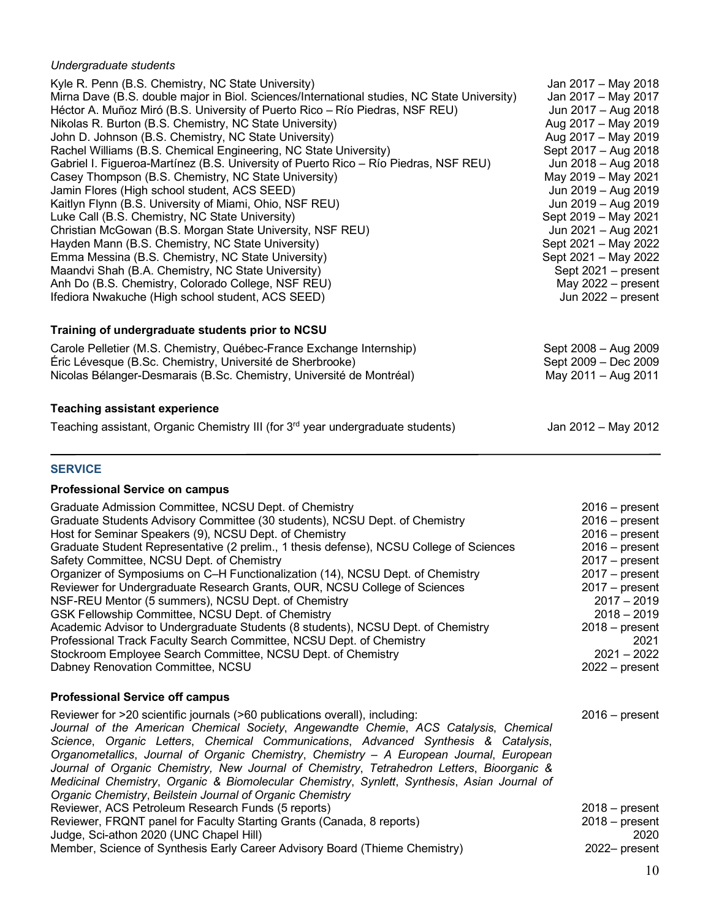# *Undergraduate students*

| Kyle R. Penn (B.S. Chemistry, NC State University)                                          | Jan 2017 - May 2018  |
|---------------------------------------------------------------------------------------------|----------------------|
| Mirna Dave (B.S. double major in Biol. Sciences/International studies, NC State University) | Jan 2017 - May 2017  |
| Héctor A. Muñoz Miró (B.S. University of Puerto Rico – Río Piedras, NSF REU)                | Jun 2017 - Aug 2018  |
| Nikolas R. Burton (B.S. Chemistry, NC State University)                                     | Aug 2017 - May 2019  |
| John D. Johnson (B.S. Chemistry, NC State University)                                       | Aug 2017 - May 2019  |
| Rachel Williams (B.S. Chemical Engineering, NC State University)                            | Sept 2017 – Aug 2018 |
| Gabriel I. Figueroa-Martínez (B.S. University of Puerto Rico - Río Piedras, NSF REU)        | Jun 2018 - Aug 2018  |
| Casey Thompson (B.S. Chemistry, NC State University)                                        | May 2019 - May 2021  |
| Jamin Flores (High school student, ACS SEED)                                                | Jun 2019 – Aug 2019  |
| Kaitlyn Flynn (B.S. University of Miami, Ohio, NSF REU)                                     | Jun 2019 - Aug 2019  |
| Luke Call (B.S. Chemistry, NC State University)                                             | Sept 2019 - May 2021 |
| Christian McGowan (B.S. Morgan State University, NSF REU)                                   | Jun 2021 - Aug 2021  |
| Hayden Mann (B.S. Chemistry, NC State University)                                           | Sept 2021 - May 2022 |
| Emma Messina (B.S. Chemistry, NC State University)                                          | Sept 2021 - May 2022 |
| Maandvi Shah (B.A. Chemistry, NC State University)                                          | Sept 2021 - present  |
| Anh Do (B.S. Chemistry, Colorado College, NSF REU)                                          | May $2022 -$ present |
| Ifediora Nwakuche (High school student, ACS SEED)                                           | Jun 2022 - present   |
|                                                                                             |                      |

# **Training of undergraduate students prior to NCSU**

| Carole Pelletier (M.S. Chemistry, Québec-France Exchange Internship) | Sept 2008 – Aug 2009 |
|----------------------------------------------------------------------|----------------------|
| Éric Lévesque (B.Sc. Chemistry, Université de Sherbrooke)            | Sept 2009 – Dec 2009 |
| Nicolas Bélanger-Desmarais (B.Sc. Chemistry, Université de Montréal) | May 2011 – Aug 2011  |

# **Teaching assistant experience**

| Teaching assistant, Organic Chemistry III (for 3 <sup>rd</sup> year undergraduate students) |  |  |
|---------------------------------------------------------------------------------------------|--|--|
|---------------------------------------------------------------------------------------------|--|--|

Jan 2012 – May 2012

# **SERVICE**

## **Professional Service on campus**

| Graduate Admission Committee, NCSU Dept. of Chemistry                                                                                                                                                                                                                                                                                                                                                                                                                                                                                                                                                         | $2016$ – present |
|---------------------------------------------------------------------------------------------------------------------------------------------------------------------------------------------------------------------------------------------------------------------------------------------------------------------------------------------------------------------------------------------------------------------------------------------------------------------------------------------------------------------------------------------------------------------------------------------------------------|------------------|
| Graduate Students Advisory Committee (30 students), NCSU Dept. of Chemistry                                                                                                                                                                                                                                                                                                                                                                                                                                                                                                                                   | $2016$ – present |
| Host for Seminar Speakers (9), NCSU Dept. of Chemistry                                                                                                                                                                                                                                                                                                                                                                                                                                                                                                                                                        | $2016$ – present |
| Graduate Student Representative (2 prelim., 1 thesis defense), NCSU College of Sciences                                                                                                                                                                                                                                                                                                                                                                                                                                                                                                                       | $2016$ – present |
| Safety Committee, NCSU Dept. of Chemistry                                                                                                                                                                                                                                                                                                                                                                                                                                                                                                                                                                     | $2017$ – present |
| Organizer of Symposiums on C-H Functionalization (14), NCSU Dept. of Chemistry                                                                                                                                                                                                                                                                                                                                                                                                                                                                                                                                | $2017$ – present |
| Reviewer for Undergraduate Research Grants, OUR, NCSU College of Sciences                                                                                                                                                                                                                                                                                                                                                                                                                                                                                                                                     | $2017 - present$ |
| NSF-REU Mentor (5 summers), NCSU Dept. of Chemistry                                                                                                                                                                                                                                                                                                                                                                                                                                                                                                                                                           | $2017 - 2019$    |
| GSK Fellowship Committee, NCSU Dept. of Chemistry                                                                                                                                                                                                                                                                                                                                                                                                                                                                                                                                                             | $2018 - 2019$    |
| Academic Advisor to Undergraduate Students (8 students), NCSU Dept. of Chemistry                                                                                                                                                                                                                                                                                                                                                                                                                                                                                                                              | $2018 - present$ |
| Professional Track Faculty Search Committee, NCSU Dept. of Chemistry                                                                                                                                                                                                                                                                                                                                                                                                                                                                                                                                          | 2021             |
| Stockroom Employee Search Committee, NCSU Dept. of Chemistry                                                                                                                                                                                                                                                                                                                                                                                                                                                                                                                                                  | $2021 - 2022$    |
| Dabney Renovation Committee, NCSU                                                                                                                                                                                                                                                                                                                                                                                                                                                                                                                                                                             | $2022 - present$ |
| <b>Professional Service off campus</b>                                                                                                                                                                                                                                                                                                                                                                                                                                                                                                                                                                        |                  |
| Reviewer for >20 scientific journals (>60 publications overall), including:<br>Journal of the American Chemical Society, Angewandte Chemie, ACS Catalysis, Chemical<br>Science, Organic Letters, Chemical Communications, Advanced Synthesis & Catalysis,<br>Organometallics, Journal of Organic Chemistry, Chemistry - A European Journal, European<br>Journal of Organic Chemistry, New Journal of Chemistry, Tetrahedron Letters, Bioorganic &<br>Medicinal Chemistry, Organic & Biomolecular Chemistry, Synlett, Synthesis, Asian Journal of<br>Organic Chemistry, Beilstein Journal of Organic Chemistry | $2016$ – present |

| Reviewer, ACS Petroleum Research Funds (5 reports)                          | $2018 -$ present |
|-----------------------------------------------------------------------------|------------------|
| Reviewer, FRQNT panel for Faculty Starting Grants (Canada, 8 reports)       | $2018 -$ present |
| Judge, Sci-athon 2020 (UNC Chapel Hill)                                     | 2020             |
| Member, Science of Synthesis Early Career Advisory Board (Thieme Chemistry) | 2022– present    |